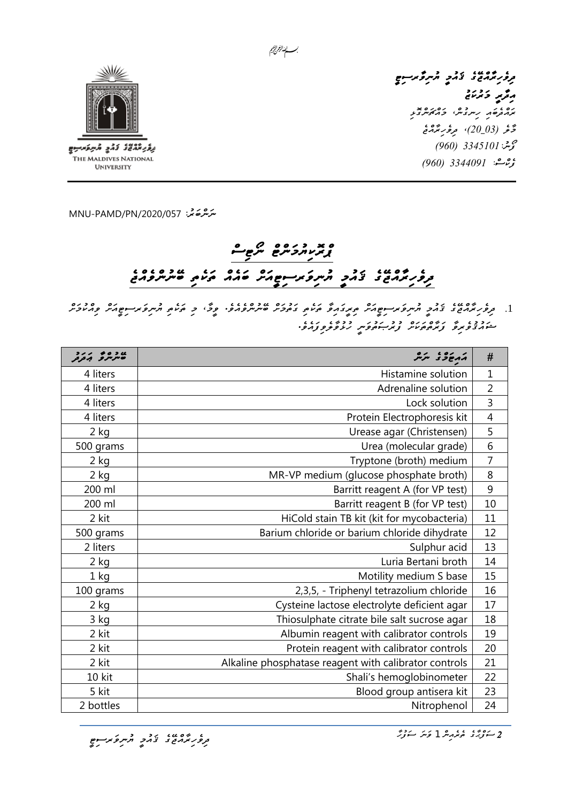بسسا ينالزم الزميم





THE MALDIVES NATIONAL **UNIVERSITY** 

*ﯩﻨﺮُﻫ*ﺨَﻳ<sup>:</sup> 720/057 /MNU-PAMD

# *ޕްރޮކިޔުމަންޓް ނޯޓިސް ދިވެހިރާއްޖޭގެ ޤައުމީ ޔުނިވަރސިޓީއަށް ބައެއް ތަކެތި ބޭނުންވެއްޖެ*

.1 *زود پوروغ، دومبرو مرکز می دوره غرومبرورد و دوره وی دهید و مرکز می در دور دور دور دور دور دور دور*<br>1. ت*وور ترم*وح دورمبر میلی در میلی در دوره دوره میلی دوره و دوره بر دور *ޝައުޤުވެރިވާ ފަރާތްތަކަށް ފުރުޞަތުވަނީ ހުޅުވާލެވިފައެވ.ެ* 

| ر ده د ۱۰ در<br>مرس د برد | an soenn                                              | #              |
|---------------------------|-------------------------------------------------------|----------------|
| 4 liters                  | Histamine solution                                    |                |
| 4 liters                  | Adrenaline solution                                   |                |
| 4 liters                  | Lock solution                                         |                |
| 4 liters                  | Protein Electrophoresis kit                           |                |
| $2$ kg                    | Urease agar (Christensen)                             | 5              |
| 500 grams                 | Urea (molecular grade)                                | $\overline{6}$ |
| 2 kg                      | Tryptone (broth) medium                               | 7              |
| $2$ kg                    | MR-VP medium (glucose phosphate broth)                | 8              |
| 200 ml                    | Barritt reagent A (for VP test)                       | 9              |
| 200 ml                    | Barritt reagent B (for VP test)                       | 10             |
| 2 kit                     | HiCold stain TB kit (kit for mycobacteria)            | 11             |
| 500 grams                 | Barium chloride or barium chloride dihydrate          | 12             |
| 2 liters                  | Sulphur acid                                          |                |
| $2$ kg                    | Luria Bertani broth                                   | 14             |
| $1$ kg                    | Motility medium S base                                | 15             |
| 100 grams                 | 2,3,5, - Triphenyl tetrazolium chloride               | 16             |
| $2$ kg                    | Cysteine lactose electrolyte deficient agar           | 17             |
| 3 kg                      | Thiosulphate citrate bile salt sucrose agar           | 18             |
| 2 kit                     | Albumin reagent with calibrator controls              | 19             |
| 2 kit                     | Protein reagent with calibrator controls              | 20             |
| 2 kit                     | Alkaline phosphatase reagent with calibrator controls | 21             |
| 10 kit                    | Shali's hemoglobinometer                              | 22             |
| 5 kit                     | Blood group antisera kit                              | 23             |
| 2 bottles                 | Nitrophenol                                           | 24             |

<del>، دعب در در در مرکز کو م</del><br>مر*ور ب*رمنۍ د تخصيص مرکز ک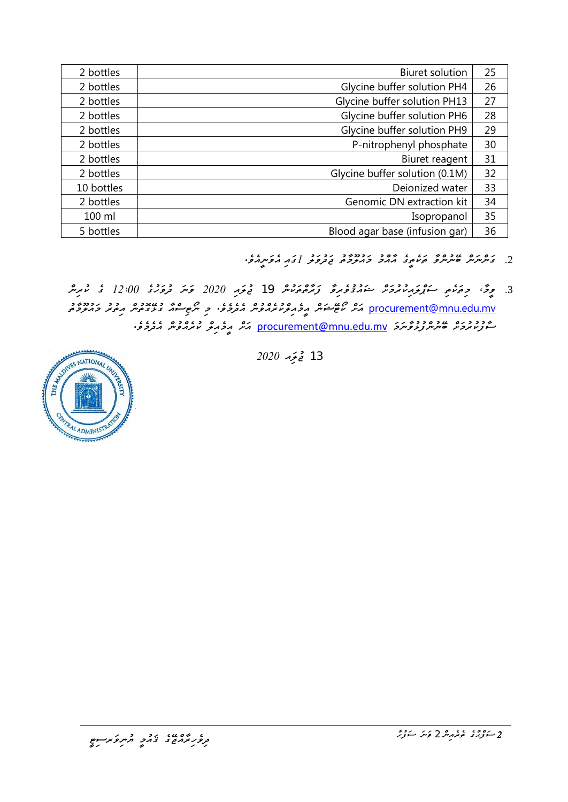| 2 bottles  | <b>Biuret solution</b>         |    |
|------------|--------------------------------|----|
| 2 bottles  | Glycine buffer solution PH4    |    |
| 2 bottles  | Glycine buffer solution PH13   |    |
| 2 bottles  | Glycine buffer solution PH6    |    |
| 2 bottles  | Glycine buffer solution PH9    | 29 |
| 2 bottles  | P-nitrophenyl phosphate        | 30 |
| 2 bottles  | Biuret reagent                 |    |
| 2 bottles  | Glycine buffer solution (0.1M) |    |
| 10 bottles | Deionized water                | 33 |
| 2 bottles  | Genomic DN extraction kit      | 34 |
| 100 ml     | Isopropanol                    | 35 |
| 5 bottles  | Blood agar base (infusion gar) | 36 |

- <u>.</u><br>2 كرسر مسر مسر مريد مريد المرحم المحروم المحمد المريد المحمد المحمد المحمد المحمد المحمد المحمد المحمد المحمد ال
- .3 *ވީމ،ާ މިތަކެތި ސަޕްލައިކުރުމަށް ޝައުޤުވެރިވާ ފަރާތްތަކުން* 19 *ޖުލައި 2020 ވަނަ ދުވަހުގެ 12:00 ގެ ކުރިން*  [mv.edu.mnu@procurement](mailto:procurement@mnu.edu.mv) *އަށް ކޯޓޭޝަން އީމެއިލްކުރެއްވުން އެދެމެވ.ެ މި ނޯޓިސްއާ ގުޅޭގޮތުން އިތުރު މައުލޫމާތު*  مُحُمِّوۡ وَمُرۡ غَیۡدِ وَدۡ حُسۡرَ نُوۡدِحُسَ کَ <u>brocurement@mnu.edu.mv</u> کَنْدُ مِعۡدَمُوۡ مِنۡدُوۡدَ وَمُسَ



13 **تح**تجة 2*020*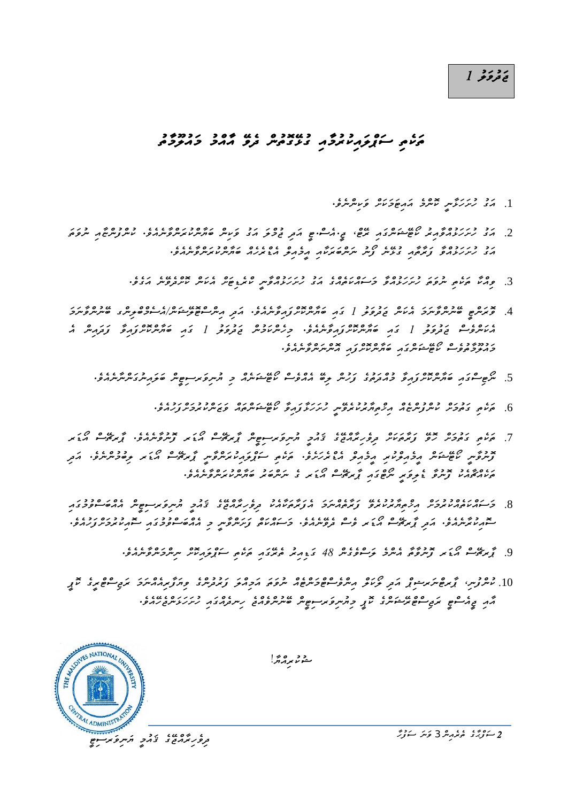## ر د د د<br>**ت**ح ت*وڅو 1*

# *ތަކެތި ސަޕްލައިކުރު މާއި ގުޅޭ ގޮތުން ދެވޭ އާއްމު މައުލޫމާތު*

- .1 مرد دربره مدربره مدرون در المردون.<br>1. مرد رس رئیس مسرد مرمض دسر و میشود.
- .2 *އަގު ހުށަހަޅުއްވާއިރު ކޯޓޭޝަންގައި ރޭޓ،ް ޖ.ީއެސ.ްޓީ އަދި ޖުމްލަ އަގު ވަކިން ބަޔާންކުރަންވާނެއެވ.ެ ކުންފުންޏާއި ނުވަތަ އަގު ހުށަހަޅުއްވާ ފަރާތާއި ގުޅޭނެ ފޯނު ނަންބަރަކާއި އީމެއިލް އެޑްރެހެއް ބަޔާންކުރަންވާނެއެވ.ެ* 
	- .3 *ވިއްކާ ތަކެތި ނުވަތަ ހުށަހަޅުއްވާ މަސައްކަތެއްގެ އަގު ހުށަހަޅުއްވާނީ ކްރެޑިޓަށް އެކަން ކޮށްދެވޭނެ އަގެވ.ެ*
- .4 *ވޮރަންޓީ ބޭނުންވާނަމަ އެކަން ޖަދުވަލު 1 ގައި ބަޔާންކޮށްފައިވާނެއެވ.ެ އަދި އިންސްޓޮލޭޝަނ/ްއެސެމްބްލިންގ ބޭނުންވާނަމަ އެކަންވެސް ޖަދުވަލު 1 ގައި ބަޔާންކޮށްފައިވާނެއެވ.ެ މިހެންކަމުން ޖަދުވަލު 1 ގައި ބަޔާންކޮށްފައިވާ ފަދައިން އެ މައުލޫމާތުވެސް ކޯޓޭޝަންގައި ބަޔާންކޮށްފައި އޮންނަންވާނެއެވ.ެ* 
	- <del>. مرض عبد ١٤٥٠٠ × ٢٥٠٠٠ ، ٢٥٠٠ م</del> ١٥٠٠ م ٢٥٠٠ م ٢٠٠٠ م م ٢٠٠٠ م م ٢٠٠٠ ، ٢٠٠٠ ، ٢٠٠ ، ٢٠٠ ، ٢٠٠ ، ٢٠٠ ، ٢٠٠ ، ٢٠
		- .6 *ތަކެތި ގަތުމަށް ކުންފުންޏެއް އިޚްތިޔާރުކުރެވޭނީ ހުށަހަޅާފައިވާ ކޯޓޭޝަންތައް ވަޒަންކުރުމަށްފަހުއެވ.ެ*
- .<br>7. می می تحوص نو تریمون ترونری تحدیر از مرکز می شود از نومی از نوع در ۱۶۰۰ میلی در این میکند و نیمی از نام<br>از می توسط نوع نومی می توسط از نامی از مرکز از مرکز از نامی از مرکز از نامی از نامی *ފޮނުވާނީ ކޯޓޭޝަން އީމެއިލްކުރި އީމެއިލް އެޑްރެހަށެވ.ެ ތަކެތި ސަޕްލައިކުރަންވާނީ ޕާރޗޭސް އޯޑަރ ލިބުމުންނެވ.ެ އަދި ތަކެއްޗާއެކު ފޮނުވާ ޑެލިވަރީ ނޯޓްގައި ޕާރޗޭސް އޯޑަރ ގެ ނަންބަރު ބަޔާންކުރަންވާނެއެވ.ެ*
- .8 *މަސައްކަތެއްކުރުމަށް އިޚްތިޔާރުކުރެވޭ ފަރާތެއްނަމަ އެފަރާތަކާއެކު ދިވެހިރާއްޖޭގެ ޤައުމީ ޔުނިވަރސިޓީން އެއްބަސްވުމުގައި*  <del>z</del> د ۱۶۶۶ م د ۱۶۵۰ م په ۲۰۵۰ م د ۱۵۷۵ م د ۲۵۵۰ م د ۲۵۵۰ م د ۲۵۵۰ م د ۲۵۵۰ م د ۲۵۵۰ م د ۲۵۵۰ م د ۲۵۵۰ م د ۲۵۵۰<br>سورمانی در ۲۶۸ م د از کردن از ۲۵ م د سور د از ۲۵۷ م د تر سر د ۲۵۸۰ م د ۲۵۵۰ م د ۲۵۷۰ م د ۲۵۷۰ م د ۲۵۷۰ م د ۲۵
	- .9 *ޕާރޗޭސް އޯ ޑަރ ފޮނުވާތާ އެންމެ ލަސްވެގެން 48 ގަޑިއިރު ތެރޭގައި ތަކެތި ސަޕްލައިކޮށް ނިންމަންވާނެއެވ.ެ*
- .10 مسرومبر، گرمره مرسوم کرد مرکز می مورد و دور در در دوره و مرکز مرکز مرکز مرکز مرکز مرکز میگیرد میگیرد میگیر<br>10 مسرومبر، گرمره مرکز کرد کو مرکز مرکز مرکز مرکز مرکز کرد و در این کرد مرکز مرکز مرکز میگیرد میگیرد میگیرد *އާއި ޖީއެސްޓީ ރަޖިސްޓްރޭޝަންގެ ކޮޕީ މިޔުނިވަރސިޓީން ބޭނުންވެއްޖެ ހިނދެއްގައި ހުށަހަޅަންޖެހޭއެވ.ެ*

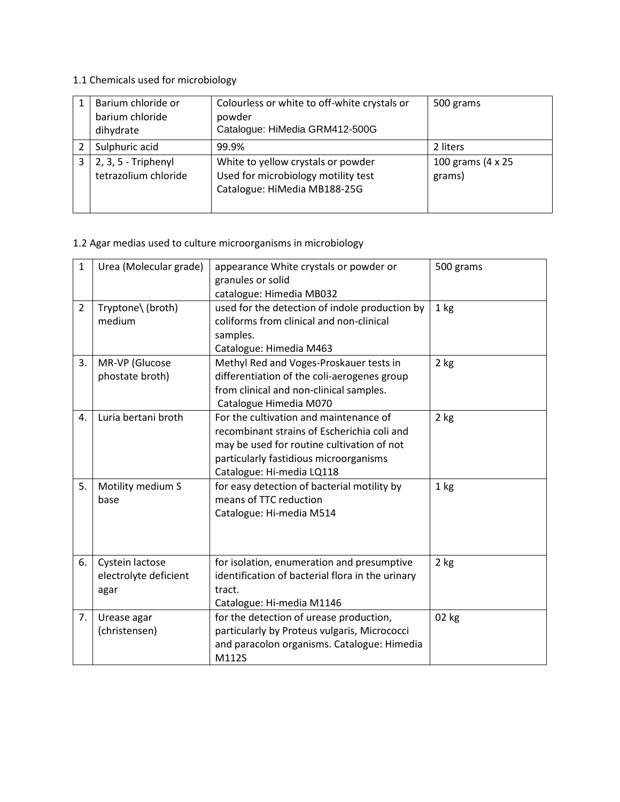#### 1.1 Chemicals used for microbiology

| Barium chloride or<br>barium chloride<br>dihydrate | Colourless or white to off-white crystals or<br>powder<br>Catalogue: HiMedia GRM412-500G                  | 500 grams                   |
|----------------------------------------------------|-----------------------------------------------------------------------------------------------------------|-----------------------------|
| Sulphuric acid                                     | 99.9%                                                                                                     | 2 liters                    |
| 2, 3, 5 - Triphenyl<br>tetrazolium chloride        | White to yellow crystals or powder<br>Used for microbiology motility test<br>Catalogue: HiMedia MB188-25G | 100 grams (4 x 25<br>grams) |

#### 1.2 Agar medias used to culture microorganisms in microbiology

| $\mathbf{1}$   | Urea (Molecular grade)                           | appearance White crystals or powder or<br>granules or solid<br>catalogue: Himedia MB032                                                                                                                    | 500 grams |
|----------------|--------------------------------------------------|------------------------------------------------------------------------------------------------------------------------------------------------------------------------------------------------------------|-----------|
| $\overline{2}$ | Tryptone\ (broth)<br>medium                      | used for the detection of indole production by<br>coliforms from clinical and non-clinical<br>samples.<br>Catalogue: Himedia M463                                                                          | $1$ kg    |
| 3.             | MR-VP (Glucose<br>phostate broth)                | Methyl Red and Voges-Proskauer tests in<br>differentiation of the coli-aerogenes group<br>from clinical and non-clinical samples.<br>Catalogue Himedia M070                                                | $2$ kg    |
| 4.             | Luria bertani broth                              | For the cultivation and maintenance of<br>recombinant strains of Escherichia coli and<br>may be used for routine cultivation of not<br>particularly fastidious microorganisms<br>Catalogue: Hi-media LQ118 | $2$ kg    |
| 5.             | Motility medium S<br>base                        | for easy detection of bacterial motility by<br>means of TTC reduction<br>Catalogue: Hi-media M514                                                                                                          | 1 kg      |
| 6.             | Cystein lactose<br>electrolyte deficient<br>agar | for isolation, enumeration and presumptive<br>identification of bacterial flora in the urinary<br>tract.<br>Catalogue: Hi-media M1146                                                                      | 2 kg      |
| 7.             | Urease agar<br>(christensen)                     | for the detection of urease production,<br>particularly by Proteus vulgaris, Micrococci<br>and paracolon organisms. Catalogue: Himedia<br>M112S                                                            | 02 kg     |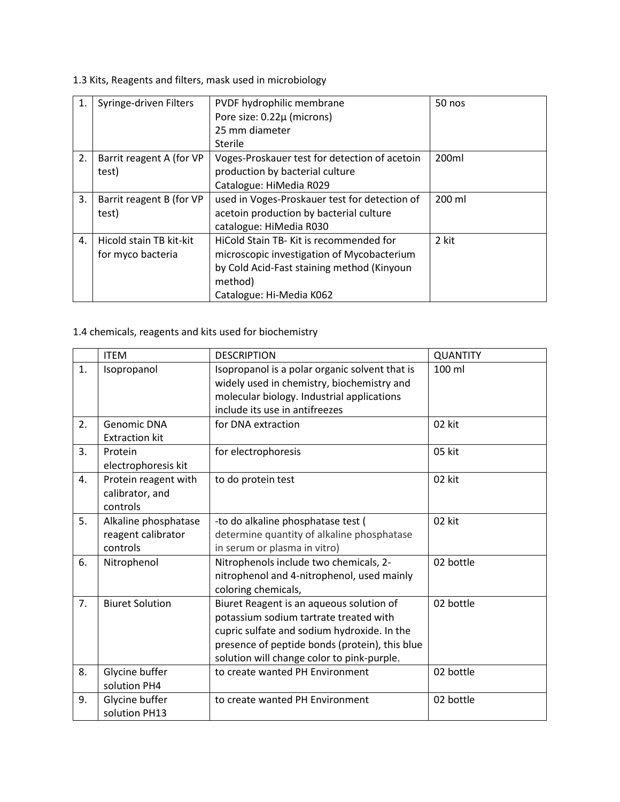1.3 Kits, Reagents and filters, mask used in microbiology

| 1. | Syringe-driven Filters   | PVDF hydrophilic membrane                     | 50 nos |
|----|--------------------------|-----------------------------------------------|--------|
|    |                          | Pore size: 0.22µ (microns)                    |        |
|    |                          | 25 mm diameter                                |        |
|    |                          | Sterile                                       |        |
| 2. | Barrit reagent A (for VP | Voges-Proskauer test for detection of acetoin | 200ml  |
|    | test)                    | production by bacterial culture               |        |
|    |                          | Catalogue: HiMedia R029                       |        |
| 3. | Barrit reagent B (for VP | used in Voges-Proskauer test for detection of | 200 ml |
|    | test)                    | acetoin production by bacterial culture       |        |
|    |                          | catalogue: HiMedia R030                       |        |
| 4. | Hicold stain TB kit-kit  | HiCold Stain TB- Kit is recommended for       | 2 kit  |
|    | for myco bacteria        | microscopic investigation of Mycobacterium    |        |
|    |                          | by Cold Acid-Fast staining method (Kinyoun    |        |
|    |                          | method)                                       |        |
|    |                          | Catalogue: Hi-Media K062                      |        |

### 1.4 chemicals, reagents and kits used for biochemistry

|    | <b>ITEM</b>                                            | <b>DESCRIPTION</b>                                                                                                                                                                                                                | <b>QUANTITY</b> |
|----|--------------------------------------------------------|-----------------------------------------------------------------------------------------------------------------------------------------------------------------------------------------------------------------------------------|-----------------|
| 1. | Isopropanol                                            | Isopropanol is a polar organic solvent that is<br>widely used in chemistry, biochemistry and<br>molecular biology. Industrial applications<br>include its use in antifreezes                                                      | 100 ml          |
| 2. | <b>Genomic DNA</b><br><b>Extraction kit</b>            | for DNA extraction                                                                                                                                                                                                                | 02 kit          |
| 3. | Protein<br>electrophoresis kit                         | for electrophoresis                                                                                                                                                                                                               | 05 kit          |
| 4. | Protein reagent with<br>calibrator, and<br>controls    | to do protein test                                                                                                                                                                                                                | 02 kit          |
| 5. | Alkaline phosphatase<br>reagent calibrator<br>controls | -to do alkaline phosphatase test (<br>determine quantity of alkaline phosphatase<br>in serum or plasma in vitro)                                                                                                                  | 02 kit          |
| 6. | Nitrophenol                                            | Nitrophenols include two chemicals, 2-<br>nitrophenol and 4-nitrophenol, used mainly<br>coloring chemicals,                                                                                                                       | 02 bottle       |
| 7. | <b>Biuret Solution</b>                                 | Biuret Reagent is an aqueous solution of<br>potassium sodium tartrate treated with<br>cupric sulfate and sodium hydroxide. In the<br>presence of peptide bonds (protein), this blue<br>solution will change color to pink-purple. | 02 bottle       |
| 8. | Glycine buffer<br>solution PH4                         | to create wanted PH Environment                                                                                                                                                                                                   | 02 bottle       |
| 9. | Glycine buffer<br>solution PH13                        | to create wanted PH Environment                                                                                                                                                                                                   | 02 bottle       |